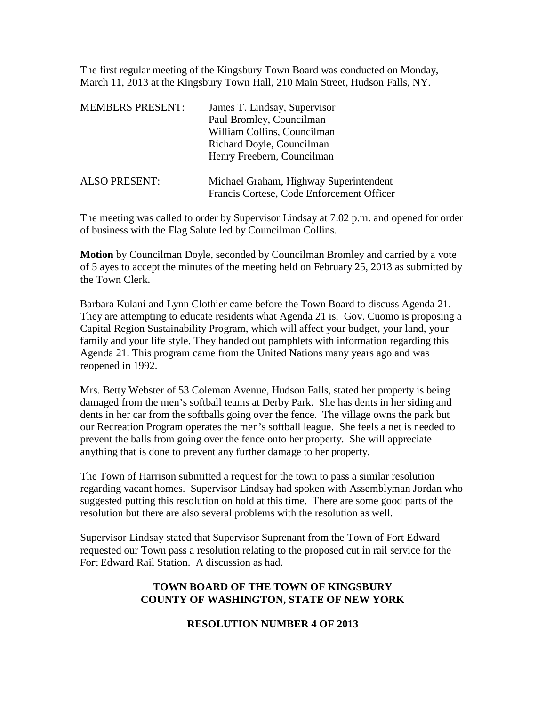The first regular meeting of the Kingsbury Town Board was conducted on Monday, March 11, 2013 at the Kingsbury Town Hall, 210 Main Street, Hudson Falls, NY.

| <b>MEMBERS PRESENT:</b> | James T. Lindsay, Supervisor                                                        |
|-------------------------|-------------------------------------------------------------------------------------|
|                         | Paul Bromley, Councilman                                                            |
|                         | William Collins, Councilman                                                         |
|                         | Richard Doyle, Councilman                                                           |
|                         | Henry Freebern, Councilman                                                          |
| <b>ALSO PRESENT:</b>    | Michael Graham, Highway Superintendent<br>Francis Cortese, Code Enforcement Officer |

The meeting was called to order by Supervisor Lindsay at 7:02 p.m. and opened for order of business with the Flag Salute led by Councilman Collins.

**Motion** by Councilman Doyle, seconded by Councilman Bromley and carried by a vote of 5 ayes to accept the minutes of the meeting held on February 25, 2013 as submitted by the Town Clerk.

Barbara Kulani and Lynn Clothier came before the Town Board to discuss Agenda 21. They are attempting to educate residents what Agenda 21 is. Gov. Cuomo is proposing a Capital Region Sustainability Program, which will affect your budget, your land, your family and your life style. They handed out pamphlets with information regarding this Agenda 21. This program came from the United Nations many years ago and was reopened in 1992.

Mrs. Betty Webster of 53 Coleman Avenue, Hudson Falls, stated her property is being damaged from the men's softball teams at Derby Park. She has dents in her siding and dents in her car from the softballs going over the fence. The village owns the park but our Recreation Program operates the men's softball league. She feels a net is needed to prevent the balls from going over the fence onto her property. She will appreciate anything that is done to prevent any further damage to her property.

The Town of Harrison submitted a request for the town to pass a similar resolution regarding vacant homes. Supervisor Lindsay had spoken with Assemblyman Jordan who suggested putting this resolution on hold at this time. There are some good parts of the resolution but there are also several problems with the resolution as well.

Supervisor Lindsay stated that Supervisor Suprenant from the Town of Fort Edward requested our Town pass a resolution relating to the proposed cut in rail service for the Fort Edward Rail Station. A discussion as had.

# **TOWN BOARD OF THE TOWN OF KINGSBURY COUNTY OF WASHINGTON, STATE OF NEW YORK**

### **RESOLUTION NUMBER 4 OF 2013**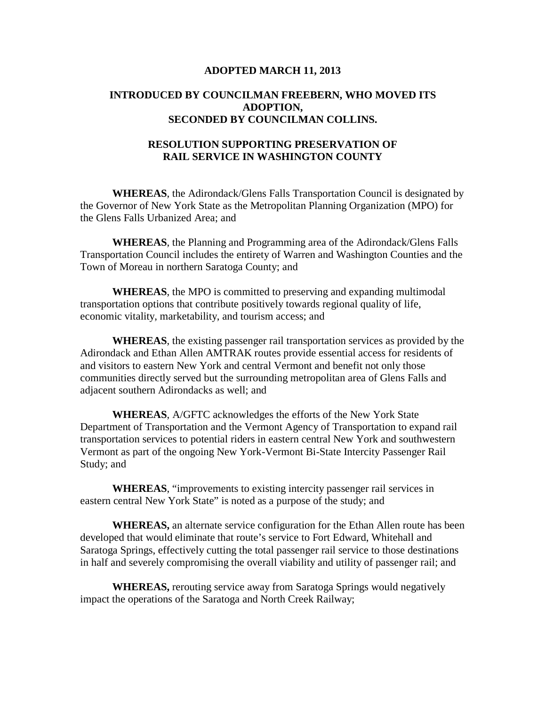#### **ADOPTED MARCH 11, 2013**

## **INTRODUCED BY COUNCILMAN FREEBERN, WHO MOVED ITS ADOPTION, SECONDED BY COUNCILMAN COLLINS.**

### **RESOLUTION SUPPORTING PRESERVATION OF RAIL SERVICE IN WASHINGTON COUNTY**

**WHEREAS**, the Adirondack/Glens Falls Transportation Council is designated by the Governor of New York State as the Metropolitan Planning Organization (MPO) for the Glens Falls Urbanized Area; and

**WHEREAS**, the Planning and Programming area of the Adirondack/Glens Falls Transportation Council includes the entirety of Warren and Washington Counties and the Town of Moreau in northern Saratoga County; and

**WHEREAS**, the MPO is committed to preserving and expanding multimodal transportation options that contribute positively towards regional quality of life, economic vitality, marketability, and tourism access; and

**WHEREAS**, the existing passenger rail transportation services as provided by the Adirondack and Ethan Allen AMTRAK routes provide essential access for residents of and visitors to eastern New York and central Vermont and benefit not only those communities directly served but the surrounding metropolitan area of Glens Falls and adjacent southern Adirondacks as well; and

**WHEREAS**, A/GFTC acknowledges the efforts of the New York State Department of Transportation and the Vermont Agency of Transportation to expand rail transportation services to potential riders in eastern central New York and southwestern Vermont as part of the ongoing New York-Vermont Bi-State Intercity Passenger Rail Study; and

**WHEREAS**, "improvements to existing intercity passenger rail services in eastern central New York State" is noted as a purpose of the study; and

**WHEREAS,** an alternate service configuration for the Ethan Allen route has been developed that would eliminate that route's service to Fort Edward, Whitehall and Saratoga Springs, effectively cutting the total passenger rail service to those destinations in half and severely compromising the overall viability and utility of passenger rail; and

**WHEREAS,** rerouting service away from Saratoga Springs would negatively impact the operations of the Saratoga and North Creek Railway;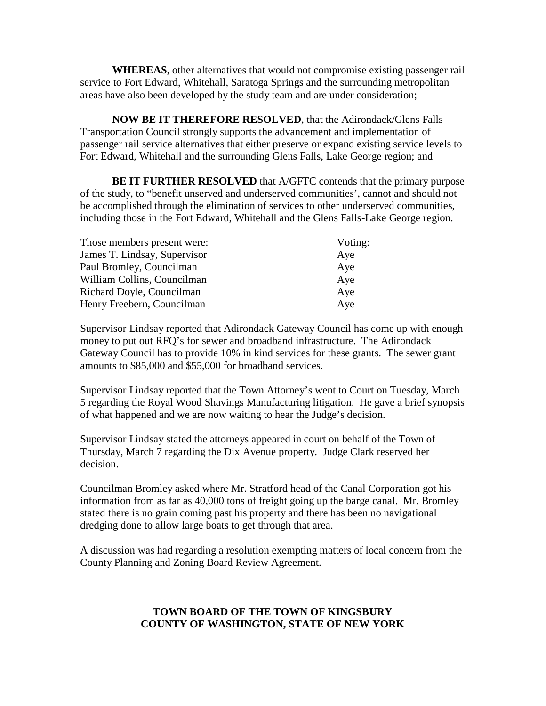**WHEREAS**, other alternatives that would not compromise existing passenger rail service to Fort Edward, Whitehall, Saratoga Springs and the surrounding metropolitan areas have also been developed by the study team and are under consideration;

**NOW BE IT THEREFORE RESOLVED**, that the Adirondack/Glens Falls Transportation Council strongly supports the advancement and implementation of passenger rail service alternatives that either preserve or expand existing service levels to Fort Edward, Whitehall and the surrounding Glens Falls, Lake George region; and

**BE IT FURTHER RESOLVED** that A/GFTC contends that the primary purpose of the study, to "benefit unserved and underserved communities', cannot and should not be accomplished through the elimination of services to other underserved communities, including those in the Fort Edward, Whitehall and the Glens Falls-Lake George region.

| Those members present were:  | Voting: |
|------------------------------|---------|
| James T. Lindsay, Supervisor | Aye     |
| Paul Bromley, Councilman     | Aye     |
| William Collins, Councilman  | Aye     |
| Richard Doyle, Councilman    | Aye     |
| Henry Freebern, Councilman   | Aye     |

Supervisor Lindsay reported that Adirondack Gateway Council has come up with enough money to put out RFQ's for sewer and broadband infrastructure. The Adirondack Gateway Council has to provide 10% in kind services for these grants. The sewer grant amounts to \$85,000 and \$55,000 for broadband services.

Supervisor Lindsay reported that the Town Attorney's went to Court on Tuesday, March 5 regarding the Royal Wood Shavings Manufacturing litigation. He gave a brief synopsis of what happened and we are now waiting to hear the Judge's decision.

Supervisor Lindsay stated the attorneys appeared in court on behalf of the Town of Thursday, March 7 regarding the Dix Avenue property. Judge Clark reserved her decision.

Councilman Bromley asked where Mr. Stratford head of the Canal Corporation got his information from as far as 40,000 tons of freight going up the barge canal. Mr. Bromley stated there is no grain coming past his property and there has been no navigational dredging done to allow large boats to get through that area.

A discussion was had regarding a resolution exempting matters of local concern from the County Planning and Zoning Board Review Agreement.

# **TOWN BOARD OF THE TOWN OF KINGSBURY COUNTY OF WASHINGTON, STATE OF NEW YORK**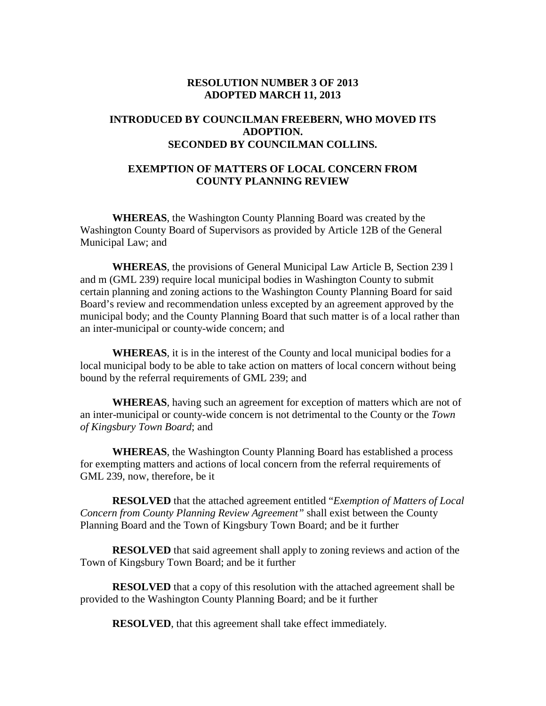#### **RESOLUTION NUMBER 3 OF 2013 ADOPTED MARCH 11, 2013**

## **INTRODUCED BY COUNCILMAN FREEBERN, WHO MOVED ITS ADOPTION. SECONDED BY COUNCILMAN COLLINS.**

## **EXEMPTION OF MATTERS OF LOCAL CONCERN FROM COUNTY PLANNING REVIEW**

**WHEREAS**, the Washington County Planning Board was created by the Washington County Board of Supervisors as provided by Article 12B of the General Municipal Law; and

**WHEREAS**, the provisions of General Municipal Law Article B, Section 239 l and m (GML 239) require local municipal bodies in Washington County to submit certain planning and zoning actions to the Washington County Planning Board for said Board's review and recommendation unless excepted by an agreement approved by the municipal body; and the County Planning Board that such matter is of a local rather than an inter-municipal or county-wide concern; and

**WHEREAS**, it is in the interest of the County and local municipal bodies for a local municipal body to be able to take action on matters of local concern without being bound by the referral requirements of GML 239; and

**WHEREAS**, having such an agreement for exception of matters which are not of an inter-municipal or county-wide concern is not detrimental to the County or the *Town of Kingsbury Town Board*; and

**WHEREAS**, the Washington County Planning Board has established a process for exempting matters and actions of local concern from the referral requirements of GML 239, now, therefore, be it

**RESOLVED** that the attached agreement entitled "*Exemption of Matters of Local Concern from County Planning Review Agreement"* shall exist between the County Planning Board and the Town of Kingsbury Town Board; and be it further

**RESOLVED** that said agreement shall apply to zoning reviews and action of the Town of Kingsbury Town Board; and be it further

**RESOLVED** that a copy of this resolution with the attached agreement shall be provided to the Washington County Planning Board; and be it further

**RESOLVED**, that this agreement shall take effect immediately.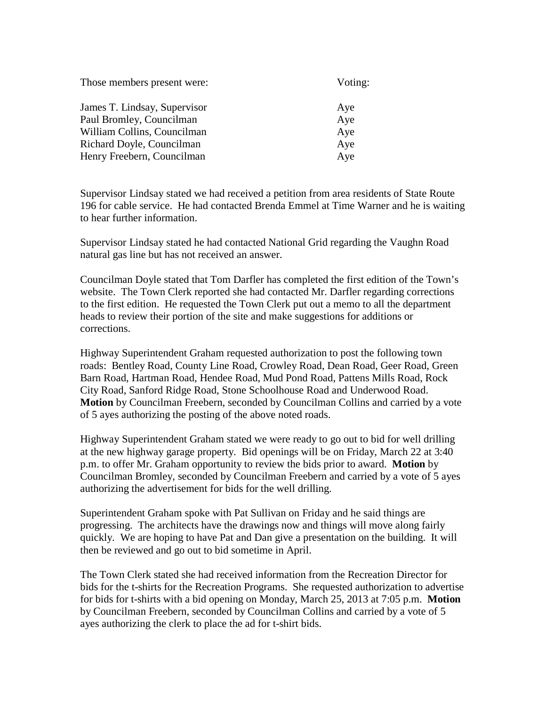| Voting: |  |
|---------|--|
| Aye     |  |
| Aye     |  |
| Aye     |  |
| Aye     |  |
| Aye     |  |
|         |  |

Supervisor Lindsay stated we had received a petition from area residents of State Route 196 for cable service. He had contacted Brenda Emmel at Time Warner and he is waiting to hear further information.

Supervisor Lindsay stated he had contacted National Grid regarding the Vaughn Road natural gas line but has not received an answer.

Councilman Doyle stated that Tom Darfler has completed the first edition of the Town's website. The Town Clerk reported she had contacted Mr. Darfler regarding corrections to the first edition. He requested the Town Clerk put out a memo to all the department heads to review their portion of the site and make suggestions for additions or corrections.

Highway Superintendent Graham requested authorization to post the following town roads: Bentley Road, County Line Road, Crowley Road, Dean Road, Geer Road, Green Barn Road, Hartman Road, Hendee Road, Mud Pond Road, Pattens Mills Road, Rock City Road, Sanford Ridge Road, Stone Schoolhouse Road and Underwood Road. **Motion** by Councilman Freebern, seconded by Councilman Collins and carried by a vote of 5 ayes authorizing the posting of the above noted roads.

Highway Superintendent Graham stated we were ready to go out to bid for well drilling at the new highway garage property. Bid openings will be on Friday, March 22 at 3:40 p.m. to offer Mr. Graham opportunity to review the bids prior to award. **Motion** by Councilman Bromley, seconded by Councilman Freebern and carried by a vote of 5 ayes authorizing the advertisement for bids for the well drilling.

Superintendent Graham spoke with Pat Sullivan on Friday and he said things are progressing. The architects have the drawings now and things will move along fairly quickly. We are hoping to have Pat and Dan give a presentation on the building. It will then be reviewed and go out to bid sometime in April.

The Town Clerk stated she had received information from the Recreation Director for bids for the t-shirts for the Recreation Programs. She requested authorization to advertise for bids for t-shirts with a bid opening on Monday, March 25, 2013 at 7:05 p.m. **Motion** by Councilman Freebern, seconded by Councilman Collins and carried by a vote of 5 ayes authorizing the clerk to place the ad for t-shirt bids.